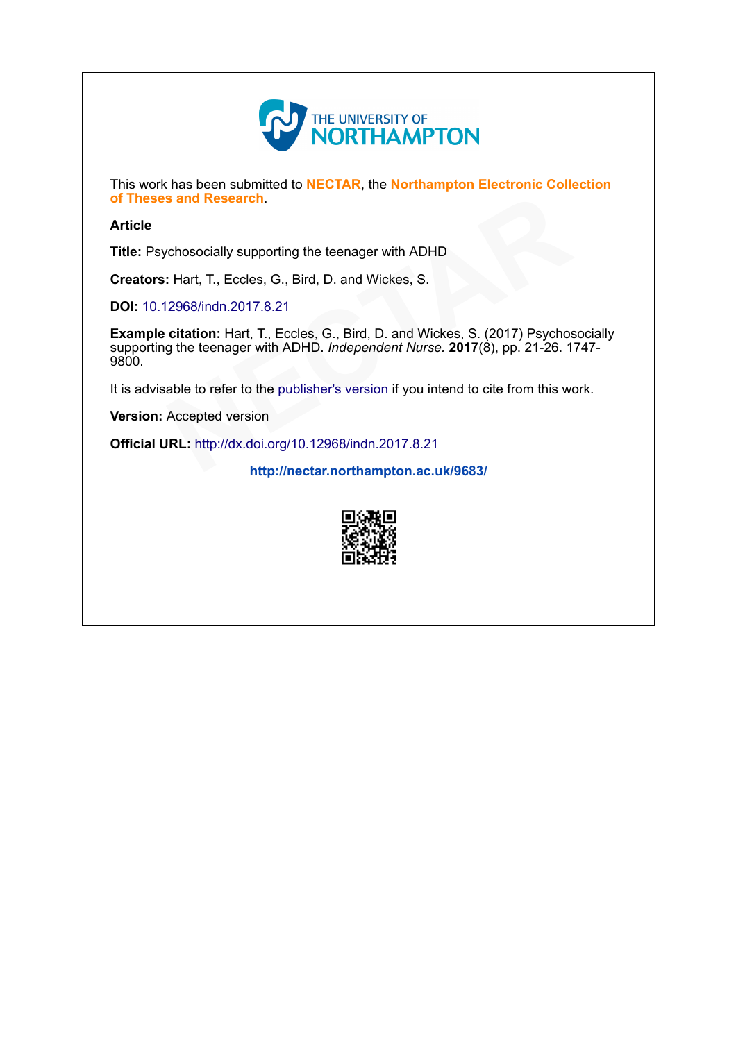

This work has been submitted to NECTAR, the Northampton Electronic Collection of Theses and Research.

#### Article

Title: Psychosocially supporting the teenager with ADHD

Creators: Hart, T., Eccles, G., Bird, D. and Wickes, S.

DOI: [10.12968/indn.2017.8.21](http://dx.doi.org/10.12968/indn.2017.8.21)

Example citation: Hart, T., Eccles, G., Bird, D. and Wickes, S. (2017) Psychosocially supporting the teenager with ADHD. Independent Nurse. 2017(8), pp. 21-26. 1747-9800. Parch.<br>
Supporting the teenager with ADHD<br>
ccles, G., Bird, D. and Wickes, S.<br>
2017.8.21<br>
lart, T., Eccles, G., Bird, D. and Wickes, S. (2017) Psychos<br>
ger with ADHD. *Independent Nurse*. **2017**(8), pp. 21-26. 1<br>
r to the

It is advisable to refer to the publisher's version if you intend to cite from this work.<br> **Version:** Accepted version<br> **Official URL:** <http://dx.doi.org/10.12968/indn.2017.8.21><br> <http://nectar.northampton.ac.uk/9683/>

Version: Accepted version

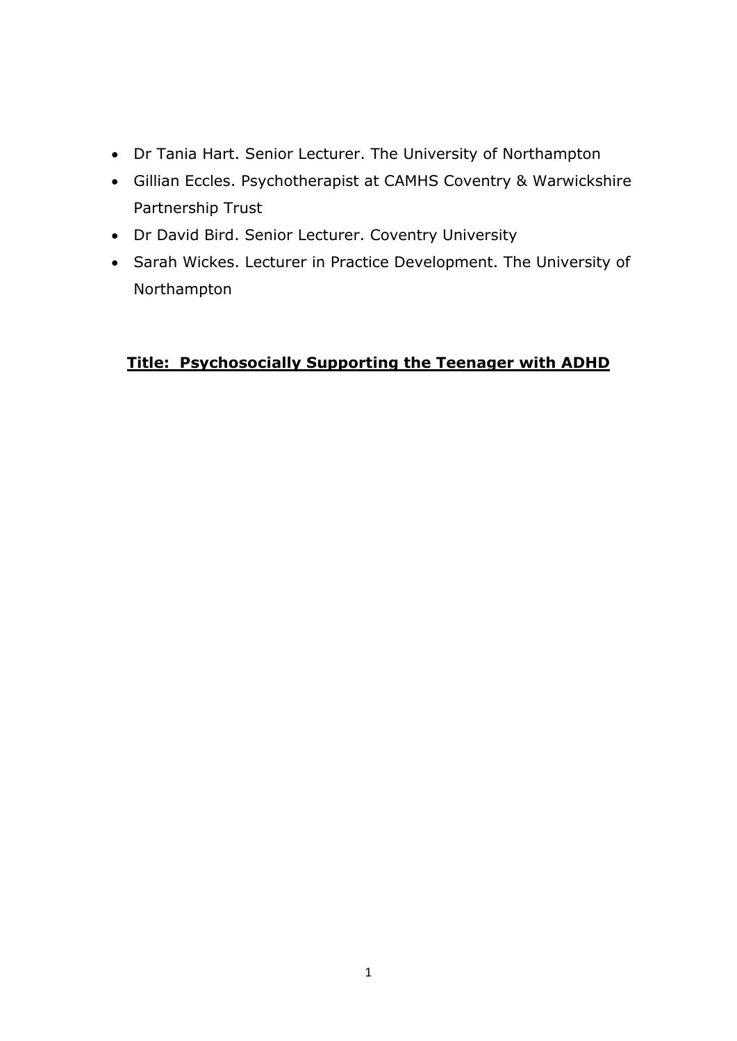- Dr Tania Hart. Senior Lecturer. The University of Northampton
- Gillian Eccles. Psychotherapist at CAMHS Coventry & Warwickshire Partnership Trust
- Dr David Bird. Senior Lecturer. Coventry University
- Sarah Wickes. Lecturer in Practice Development. The University of Northampton

# **Title: Psychosocially Supporting the Teenager with ADHD**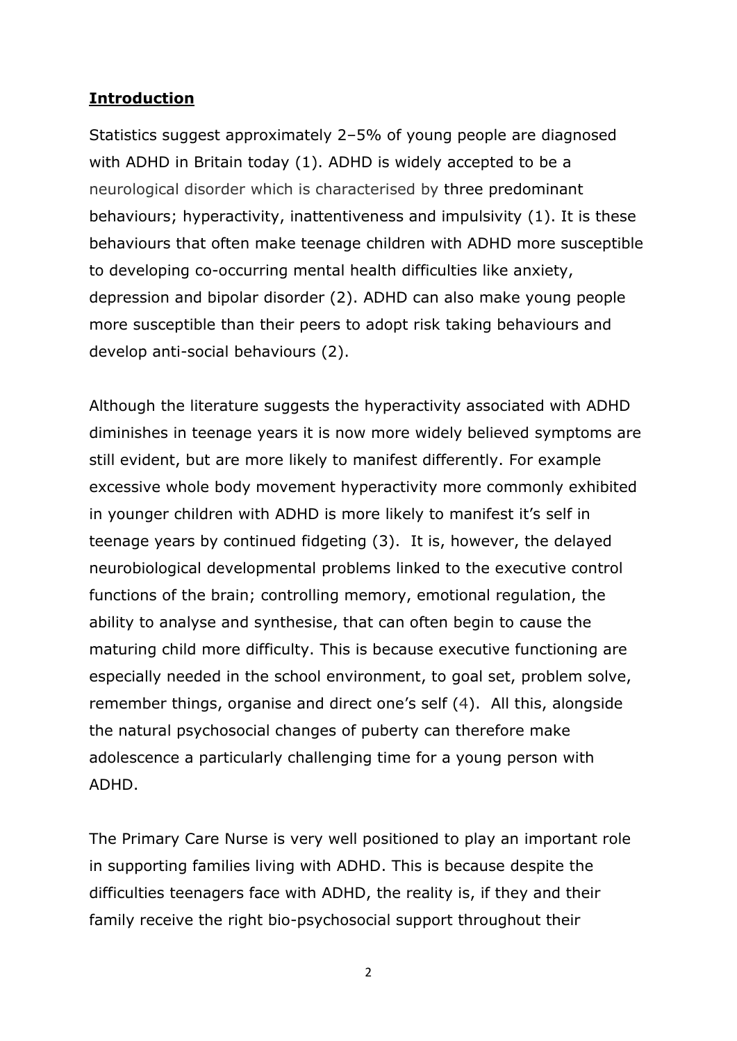## **Introduction**

Statistics suggest approximately 2–5% of young people are diagnosed with ADHD in Britain today (1). ADHD is widely accepted to be a neurological disorder which is characterised by three predominant behaviours; hyperactivity, inattentiveness and impulsivity (1). It is these behaviours that often make teenage children with ADHD more susceptible to developing co-occurring mental health difficulties like anxiety, depression and bipolar disorder (2). ADHD can also make young people more susceptible than their peers to adopt risk taking behaviours and develop anti-social behaviours (2).

Although the literature suggests the hyperactivity associated with ADHD diminishes in teenage years it is now more widely believed symptoms are still evident, but are more likely to manifest differently. For example excessive whole body movement hyperactivity more commonly exhibited in younger children with ADHD is more likely to manifest it's self in teenage years by continued fidgeting (3). It is, however, the delayed neurobiological developmental problems linked to the executive control functions of the brain; controlling memory, emotional regulation, the ability to analyse and synthesise, that can often begin to cause the maturing child more difficulty. This is because executive functioning are especially needed in the school environment, to goal set, problem solve, remember things, organise and direct one's self (4). All this, alongside the natural psychosocial changes of puberty can therefore make adolescence a particularly challenging time for a young person with ADHD.

The Primary Care Nurse is very well positioned to play an important role in supporting families living with ADHD. This is because despite the difficulties teenagers face with ADHD, the reality is, if they and their family receive the right bio-psychosocial support throughout their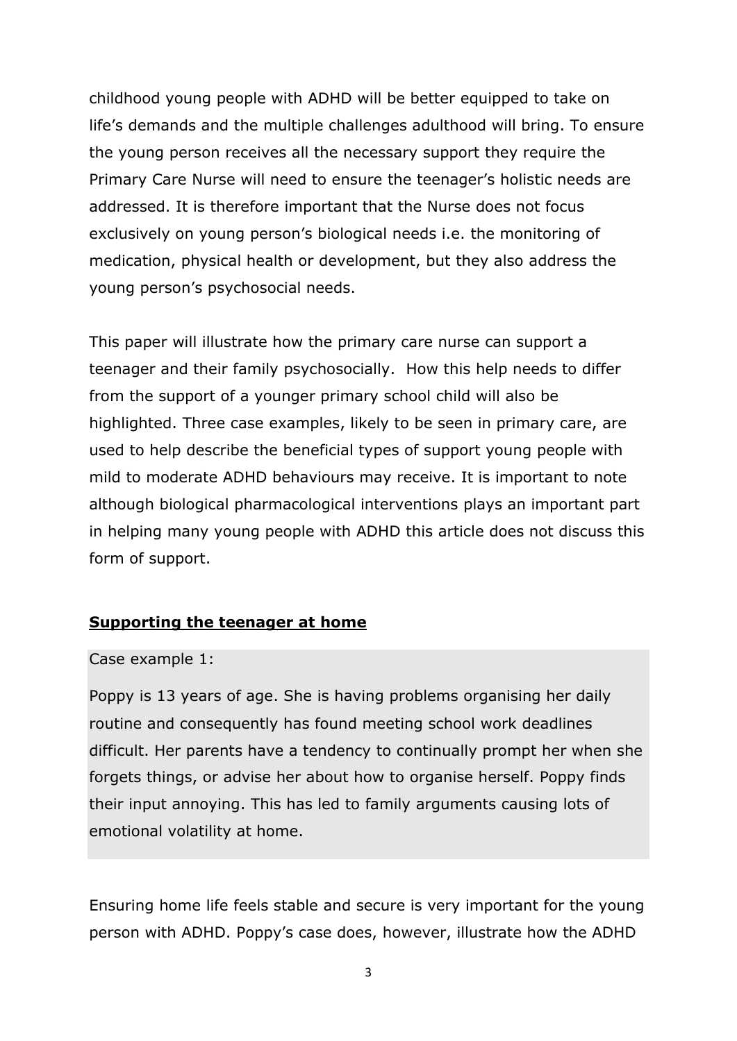childhood young people with ADHD will be better equipped to take on life's demands and the multiple challenges adulthood will bring. To ensure the young person receives all the necessary support they require the Primary Care Nurse will need to ensure the teenager's holistic needs are addressed. It is therefore important that the Nurse does not focus exclusively on young person's biological needs i.e. the monitoring of medication, physical health or development, but they also address the young person's psychosocial needs.

This paper will illustrate how the primary care nurse can support a teenager and their family psychosocially. How this help needs to differ from the support of a younger primary school child will also be highlighted. Three case examples, likely to be seen in primary care, are used to help describe the beneficial types of support young people with mild to moderate ADHD behaviours may receive. It is important to note although biological pharmacological interventions plays an important part in helping many young people with ADHD this article does not discuss this form of support.

## **Supporting the teenager at home**

### Case example 1:

Poppy is 13 years of age. She is having problems organising her daily routine and consequently has found meeting school work deadlines difficult. Her parents have a tendency to continually prompt her when she forgets things, or advise her about how to organise herself. Poppy finds their input annoying. This has led to family arguments causing lots of emotional volatility at home.

Ensuring home life feels stable and secure is very important for the young person with ADHD. Poppy's case does, however, illustrate how the ADHD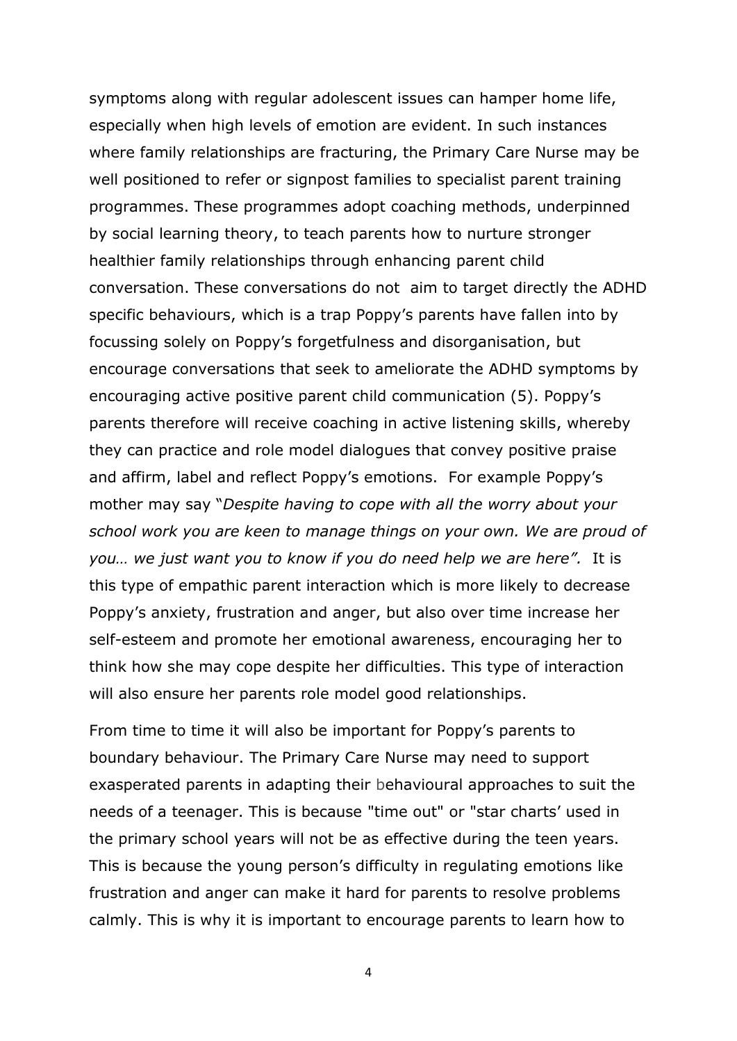symptoms along with regular adolescent issues can hamper home life, especially when high levels of emotion are evident. In such instances where family relationships are fracturing, the Primary Care Nurse may be well positioned to refer or signpost families to specialist parent training programmes. These programmes adopt coaching methods, underpinned by social learning theory, to teach parents how to nurture stronger healthier family relationships through enhancing parent child conversation. These conversations do not aim to target directly the ADHD specific behaviours, which is a trap Poppy's parents have fallen into by focussing solely on Poppy's forgetfulness and disorganisation, but encourage conversations that seek to ameliorate the ADHD symptoms by encouraging active positive parent child communication (5). Poppy's parents therefore will receive coaching in active listening skills, whereby they can practice and role model dialogues that convey positive praise and affirm, label and reflect Poppy's emotions. For example Poppy's mother may say "*Despite having to cope with all the worry about your school work you are keen to manage things on your own. We are proud of you… we just want you to know if you do need help we are here".* It is this type of empathic parent interaction which is more likely to decrease Poppy's anxiety, frustration and anger, but also over time increase her self-esteem and promote her emotional awareness, encouraging her to think how she may cope despite her difficulties. This type of interaction will also ensure her parents role model good relationships.

From time to time it will also be important for Poppy's parents to boundary behaviour. The Primary Care Nurse may need to support exasperated parents in adapting their behavioural approaches to suit the needs of a teenager. This is because "time out" or "star charts' used in the primary school years will not be as effective during the teen years. This is because the young person's difficulty in regulating emotions like frustration and anger can make it hard for parents to resolve problems calmly. This is why it is important to encourage parents to learn how to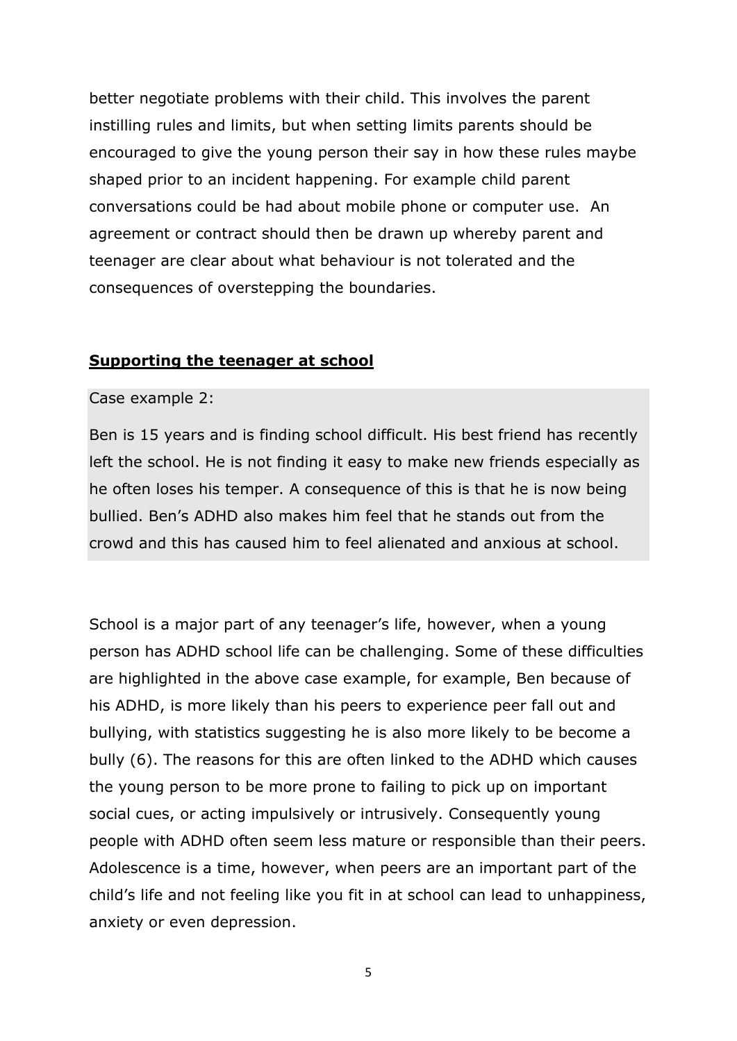better negotiate problems with their child. This involves the parent instilling rules and limits, but when setting limits parents should be encouraged to give the young person their say in how these rules maybe shaped prior to an incident happening. For example child parent conversations could be had about mobile phone or computer use. An agreement or contract should then be drawn up whereby parent and teenager are clear about what behaviour is not tolerated and the consequences of overstepping the boundaries.

## **Supporting the teenager at school**

#### Case example 2:

Ben is 15 years and is finding school difficult. His best friend has recently left the school. He is not finding it easy to make new friends especially as he often loses his temper. A consequence of this is that he is now being bullied. Ben's ADHD also makes him feel that he stands out from the crowd and this has caused him to feel alienated and anxious at school.

School is a major part of any teenager's life, however, when a young person has ADHD school life can be challenging. Some of these difficulties are highlighted in the above case example, for example, Ben because of his ADHD, is more likely than his peers to experience peer fall out and bullying, with statistics suggesting he is also more likely to be become a bully (6). The reasons for this are often linked to the ADHD which causes the young person to be more prone to failing to pick up on important social cues, or acting impulsively or intrusively. Consequently young people with ADHD often seem less mature or responsible than their peers. Adolescence is a time, however, when peers are an important part of the child's life and not feeling like you fit in at school can lead to unhappiness, anxiety or even depression.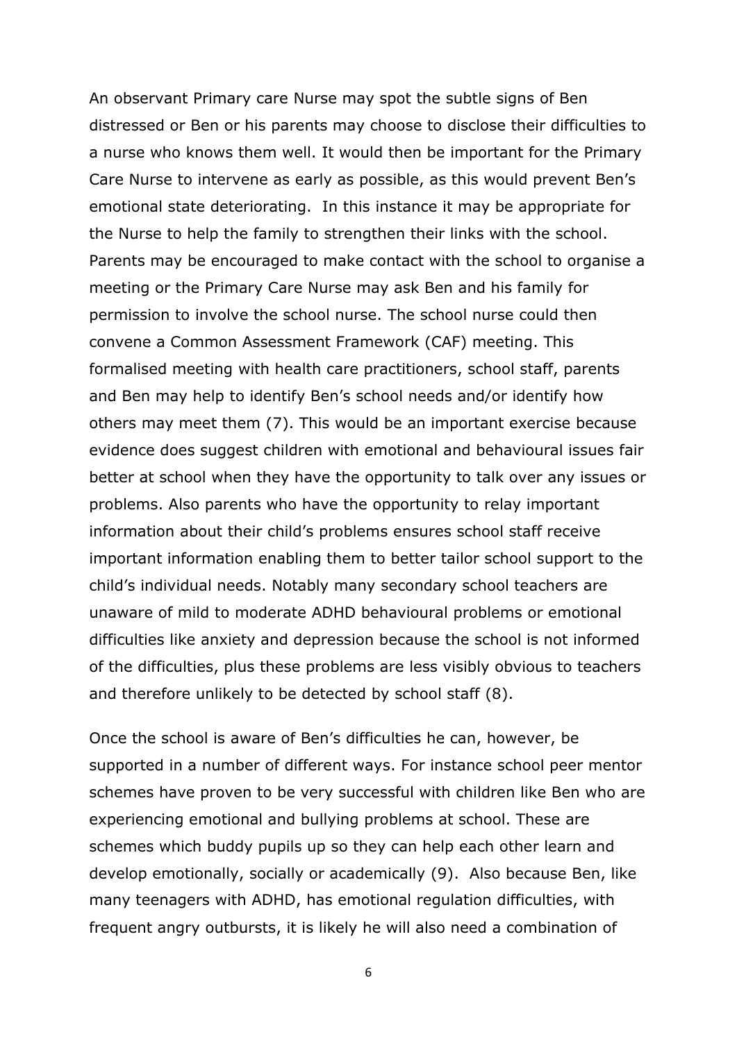An observant Primary care Nurse may spot the subtle signs of Ben distressed or Ben or his parents may choose to disclose their difficulties to a nurse who knows them well. It would then be important for the Primary Care Nurse to intervene as early as possible, as this would prevent Ben's emotional state deteriorating. In this instance it may be appropriate for the Nurse to help the family to strengthen their links with the school. Parents may be encouraged to make contact with the school to organise a meeting or the Primary Care Nurse may ask Ben and his family for permission to involve the school nurse. The school nurse could then convene a Common Assessment Framework (CAF) meeting. This formalised meeting with health care practitioners, school staff, parents and Ben may help to identify Ben's school needs and/or identify how others may meet them (7). This would be an important exercise because evidence does suggest children with emotional and behavioural issues fair better at school when they have the opportunity to talk over any issues or problems. Also parents who have the opportunity to relay important information about their child's problems ensures school staff receive important information enabling them to better tailor school support to the child's individual needs. Notably many secondary school teachers are unaware of mild to moderate ADHD behavioural problems or emotional difficulties like anxiety and depression because the school is not informed of the difficulties, plus these problems are less visibly obvious to teachers and therefore unlikely to be detected by school staff (8).

Once the school is aware of Ben's difficulties he can, however, be supported in a number of different ways. For instance school peer mentor schemes have proven to be very successful with children like Ben who are experiencing emotional and bullying problems at school. These are schemes which buddy pupils up so they can help each other learn and develop emotionally, socially or academically (9). Also because Ben, like many teenagers with ADHD, has emotional regulation difficulties, with frequent angry outbursts, it is likely he will also need a combination of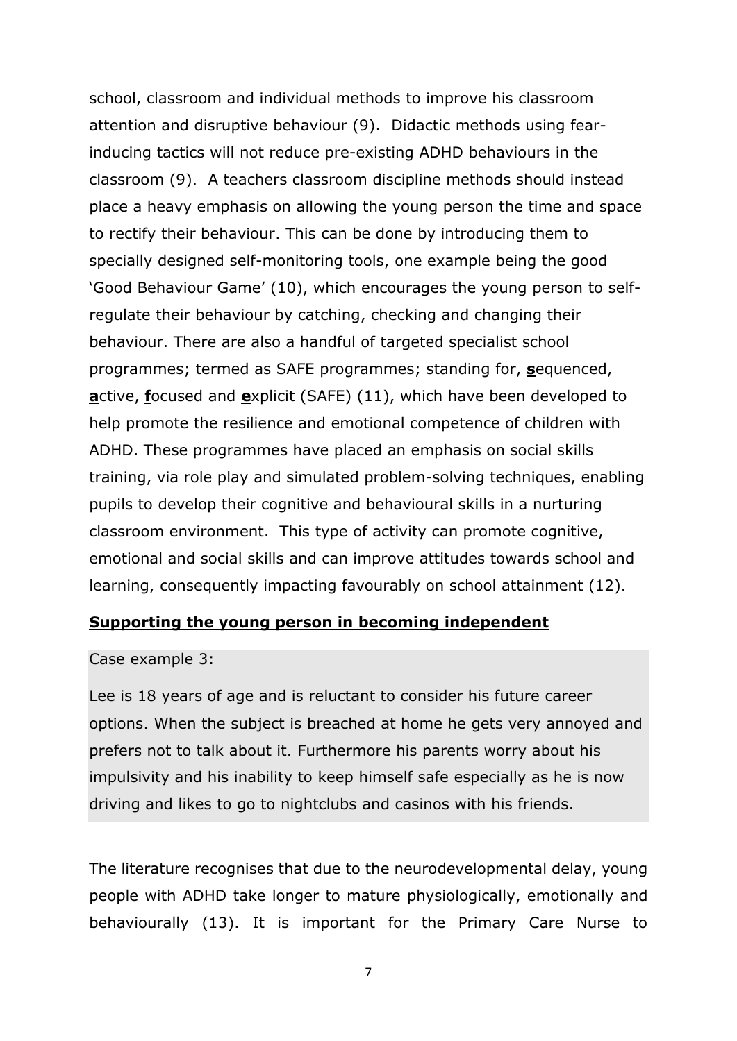school, classroom and individual methods to improve his classroom attention and disruptive behaviour (9). Didactic methods using fearinducing tactics will not reduce pre-existing ADHD behaviours in the classroom (9). A teachers classroom discipline methods should instead place a heavy emphasis on allowing the young person the time and space to rectify their behaviour. This can be done by introducing them to specially designed self-monitoring tools, one example being the good 'Good Behaviour Game' (10), which encourages the young person to selfregulate their behaviour by catching, checking and changing their behaviour. There are also a handful of targeted specialist school programmes; termed as SAFE programmes; standing for, **s**equenced, **a**ctive, **f**ocused and **e**xplicit (SAFE) (11), which have been developed to help promote the resilience and emotional competence of children with ADHD. These programmes have placed an emphasis on social skills training, via role play and simulated problem-solving techniques, enabling pupils to develop their cognitive and behavioural skills in a nurturing classroom environment. This type of activity can promote cognitive, emotional and social skills and can improve attitudes towards school and learning, consequently impacting favourably on school attainment (12).

### **Supporting the young person in becoming independent**

#### Case example 3:

Lee is 18 years of age and is reluctant to consider his future career options. When the subject is breached at home he gets very annoyed and prefers not to talk about it. Furthermore his parents worry about his impulsivity and his inability to keep himself safe especially as he is now driving and likes to go to nightclubs and casinos with his friends.

The literature recognises that due to the neurodevelopmental delay, young people with ADHD take longer to mature physiologically, emotionally and behaviourally (13). It is important for the Primary Care Nurse to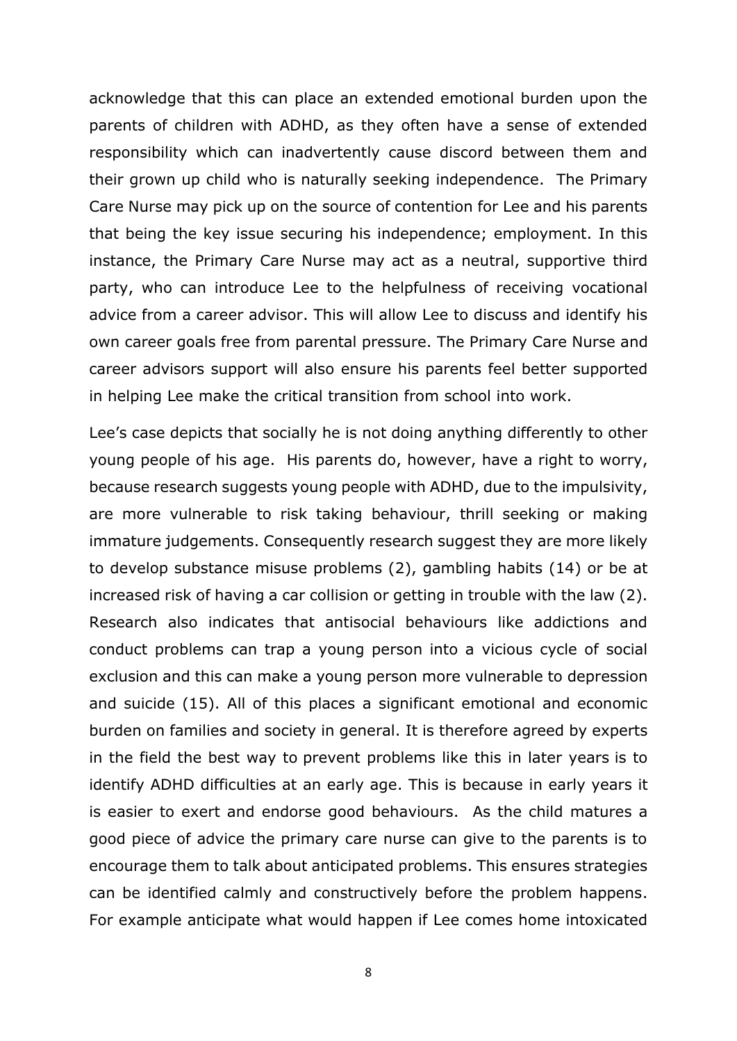acknowledge that this can place an extended emotional burden upon the parents of children with ADHD, as they often have a sense of extended responsibility which can inadvertently cause discord between them and their grown up child who is naturally seeking independence. The Primary Care Nurse may pick up on the source of contention for Lee and his parents that being the key issue securing his independence; employment. In this instance, the Primary Care Nurse may act as a neutral, supportive third party, who can introduce Lee to the helpfulness of receiving vocational advice from a career advisor. This will allow Lee to discuss and identify his own career goals free from parental pressure. The Primary Care Nurse and career advisors support will also ensure his parents feel better supported in helping Lee make the critical transition from school into work.

Lee's case depicts that socially he is not doing anything differently to other young people of his age. His parents do, however, have a right to worry, because research suggests young people with ADHD, due to the impulsivity, are more vulnerable to risk taking behaviour, thrill seeking or making immature judgements. Consequently research suggest they are more likely to develop substance misuse problems (2), gambling habits (14) or be at increased risk of having a car collision or getting in trouble with the law (2). Research also indicates that antisocial behaviours like addictions and conduct problems can trap a young person into a vicious cycle of social exclusion and this can make a young person more vulnerable to depression and suicide (15). All of this places a significant emotional and economic burden on families and society in general. It is therefore agreed by experts in the field the best way to prevent problems like this in later years is to identify ADHD difficulties at an early age. This is because in early years it is easier to exert and endorse good behaviours. As the child matures a good piece of advice the primary care nurse can give to the parents is to encourage them to talk about anticipated problems. This ensures strategies can be identified calmly and constructively before the problem happens. For example anticipate what would happen if Lee comes home intoxicated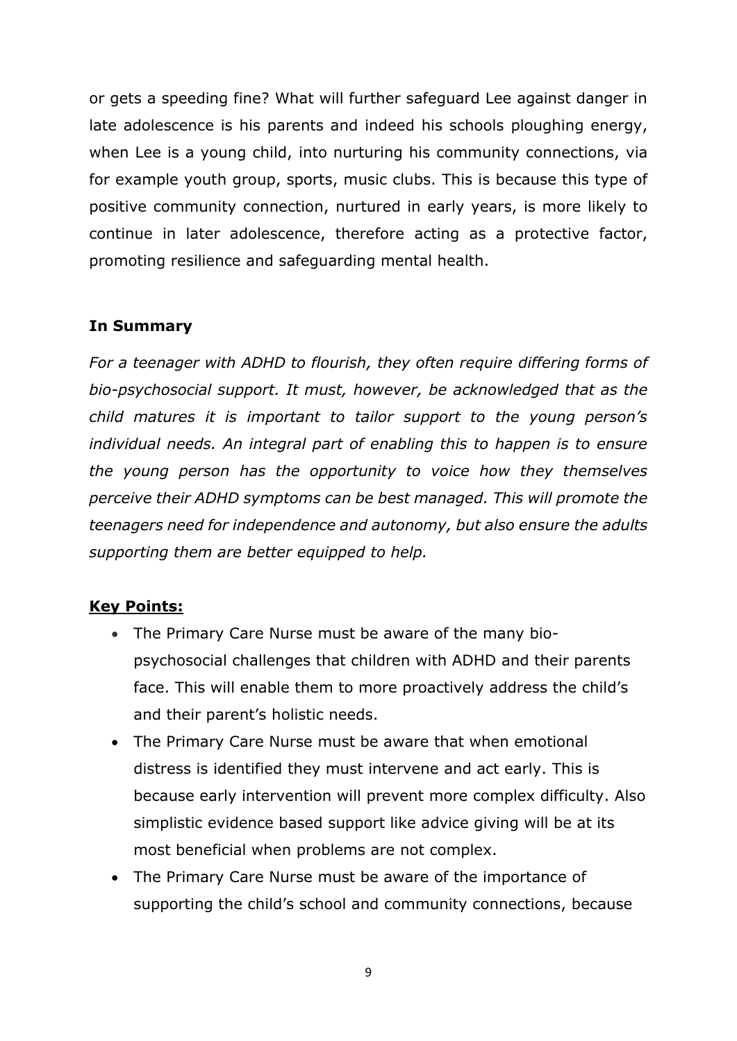or gets a speeding fine? What will further safeguard Lee against danger in late adolescence is his parents and indeed his schools ploughing energy, when Lee is a young child, into nurturing his community connections, via for example youth group, sports, music clubs. This is because this type of positive community connection, nurtured in early years, is more likely to continue in later adolescence, therefore acting as a protective factor, promoting resilience and safeguarding mental health.

# **In Summary**

*For a teenager with ADHD to flourish, they often require differing forms of bio-psychosocial support. It must, however, be acknowledged that as the child matures it is important to tailor support to the young person's individual needs. An integral part of enabling this to happen is to ensure the young person has the opportunity to voice how they themselves perceive their ADHD symptoms can be best managed. This will promote the teenagers need for independence and autonomy, but also ensure the adults supporting them are better equipped to help.* 

## **Key Points:**

- The Primary Care Nurse must be aware of the many biopsychosocial challenges that children with ADHD and their parents face. This will enable them to more proactively address the child's and their parent's holistic needs.
- The Primary Care Nurse must be aware that when emotional distress is identified they must intervene and act early. This is because early intervention will prevent more complex difficulty. Also simplistic evidence based support like advice giving will be at its most beneficial when problems are not complex.
- The Primary Care Nurse must be aware of the importance of supporting the child's school and community connections, because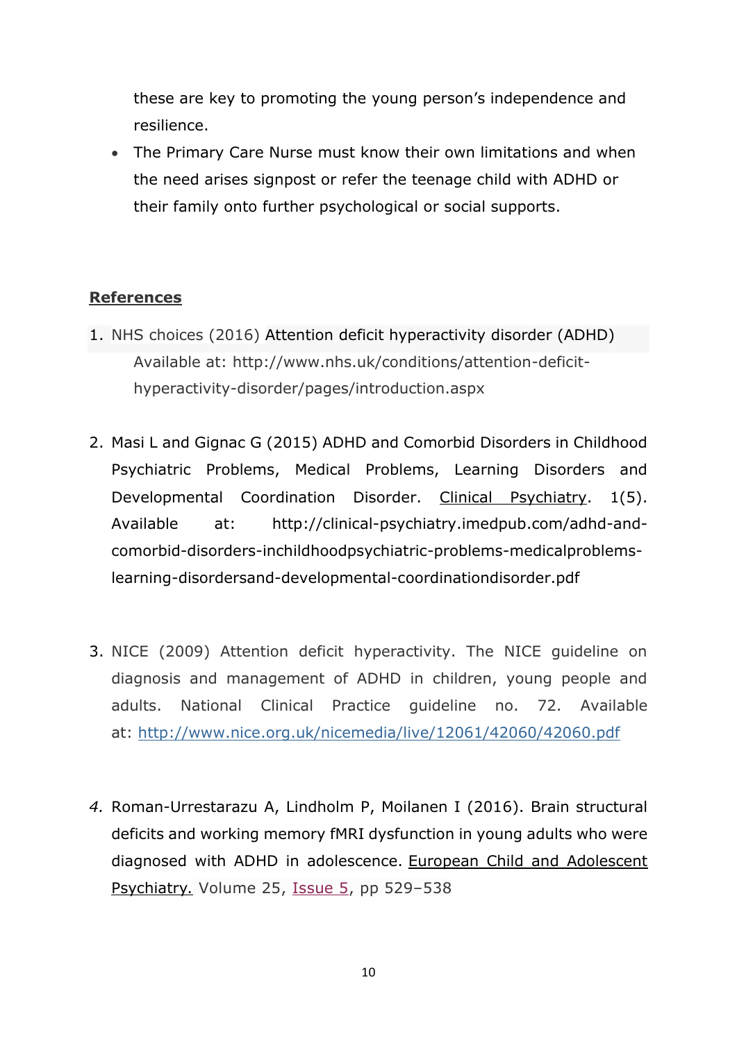these are key to promoting the young person's independence and resilience.

 The Primary Care Nurse must know their own limitations and when the need arises signpost or refer the teenage child with ADHD or their family onto further psychological or social supports.

# **References**

- 1. NHS choices (2016) Attention deficit hyperactivity disorder (ADHD) Available at: http://www.nhs.uk/conditions/attention-deficithyperactivity-disorder/pages/introduction.aspx
- 2. Masi L and Gignac G (2015) ADHD and Comorbid Disorders in Childhood Psychiatric Problems, Medical Problems, Learning Disorders and Developmental Coordination Disorder. Clinical Psychiatry. 1(5). Available at: [http://clinical-psychiatry.imedpub.com/adhd-and](http://clinical-psychiatry.imedpub.com/adhd-and-comorbid-disorders-inchildhoodpsychiatric-problems-medicalproblems-learning-disordersand-developmental-coordinationdisorder.pdf)[comorbid-disorders-inchildhoodpsychiatric-problems-medicalproblems](http://clinical-psychiatry.imedpub.com/adhd-and-comorbid-disorders-inchildhoodpsychiatric-problems-medicalproblems-learning-disordersand-developmental-coordinationdisorder.pdf)[learning-disordersand-developmental-coordinationdisorder.pdf](http://clinical-psychiatry.imedpub.com/adhd-and-comorbid-disorders-inchildhoodpsychiatric-problems-medicalproblems-learning-disordersand-developmental-coordinationdisorder.pdf)
- 3. NICE (2009) Attention deficit hyperactivity. The NICE guideline on diagnosis and management of ADHD in children, young people and adults. National Clinical Practice guideline no. 72. Available at: <http://www.nice.org.uk/nicemedia/live/12061/42060/42060.pdf>
- *4.* Roman-Urrestarazu A, Lindholm P, Moilanen I (2016). Brain structural deficits and working memory fMRI dysfunction in young adults who were diagnosed with ADHD in adolescence. European Child and Adolescent Psychiatry*.* Volume 25, [Issue](https://link.springer.com/journal/787/25/5/page/1) 5, pp 529–538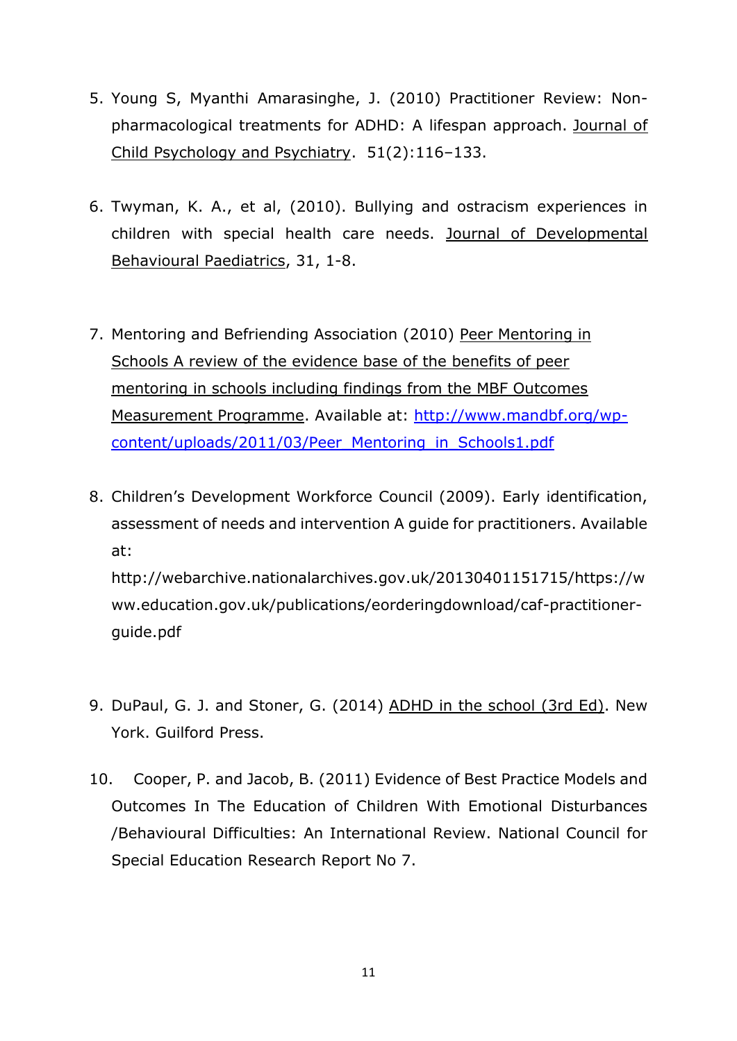- 5. Young S, Myanthi Amarasinghe, J. (2010) Practitioner Review: Nonpharmacological treatments for ADHD: A lifespan approach. Journal of Child Psychology and Psychiatry. 51(2):116–133.
- 6. Twyman, K. A., et al, (2010). Bullying and ostracism experiences in children with special health care needs. Journal of Developmental Behavioural Paediatrics, 31, 1-8.
- 7. Mentoring and Befriending Association (2010) Peer Mentoring in Schools A review of the evidence base of the benefits of peer mentoring in schools including findings from the MBF Outcomes Measurement Programme. Available at: [http://www.mandbf.org/wp](http://www.mandbf.org/wp-content/uploads/2011/03/Peer_Mentoring_in_Schools1.pdf)[content/uploads/2011/03/Peer\\_Mentoring\\_in\\_Schools1.pdf](http://www.mandbf.org/wp-content/uploads/2011/03/Peer_Mentoring_in_Schools1.pdf)
- 8. Children's Development Workforce Council (2009). Early identification, assessment of needs and intervention A guide for practitioners. Available at: http://webarchive.nationalarchives.gov.uk/20130401151715/https://w ww.education.gov.uk/publications/eorderingdownload/caf-practitionerguide.pdf
- 9. DuPaul, G. J. and Stoner, G. (2014) ADHD in the school (3rd Ed). New York. Guilford Press.
- 10. Cooper, P. and Jacob, B. (2011) Evidence of Best Practice Models and Outcomes In The Education of Children With Emotional Disturbances /Behavioural Difficulties: An International Review. National Council for Special Education Research Report No 7.